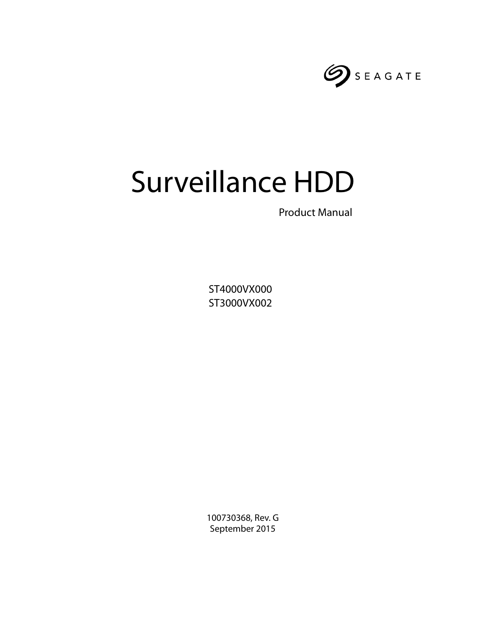

# Surveillance HDD

Product Manual

ST4000VX000 ST3000VX002

100730368, Rev. G September 2015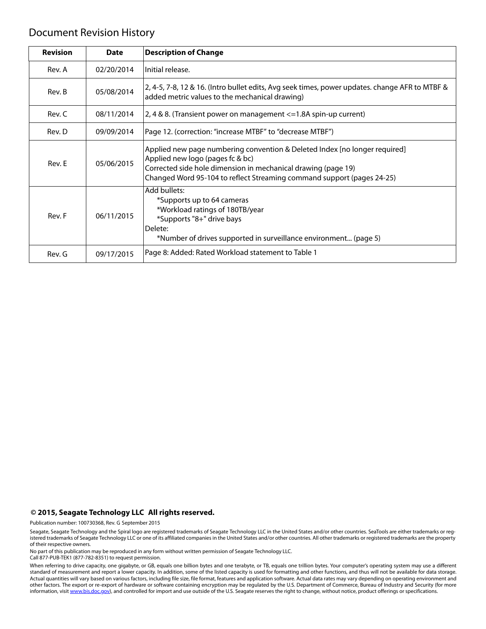## Document Revision History

| <b>Revision</b> | <b>Date</b> | <b>Description of Change</b>                                                                                                                                                                                                                              |
|-----------------|-------------|-----------------------------------------------------------------------------------------------------------------------------------------------------------------------------------------------------------------------------------------------------------|
| Rev. A          | 02/20/2014  | Initial release.                                                                                                                                                                                                                                          |
| Rev. B          | 05/08/2014  | 2, 4-5, 7-8, 12 & 16. (Intro bullet edits, Avg seek times, power updates. change AFR to MTBF &<br>added metric values to the mechanical drawing)                                                                                                          |
| Rev. C          | 08/11/2014  | 2, 4 & 8. (Transient power on management <= 1.8A spin-up current)                                                                                                                                                                                         |
| Rev. D          | 09/09/2014  | Page 12. (correction: "increase MTBF" to "decrease MTBF")                                                                                                                                                                                                 |
| Rev. E          | 05/06/2015  | Applied new page numbering convention & Deleted Index [no longer required]<br>Applied new logo (pages fc & bc)<br>Corrected side hole dimension in mechanical drawing (page 19)<br>Changed Word 95-104 to reflect Streaming command support (pages 24-25) |
| Rev. F          | 06/11/2015  | Add bullets:<br>*Supports up to 64 cameras<br>*Workload ratings of 180TB/year<br>*Supports "8+" drive bays<br>Delete:<br>*Number of drives supported in surveillance environment (page 5)                                                                 |
| Rev. G          | 09/17/2015  | Page 8: Added: Rated Workload statement to Table 1                                                                                                                                                                                                        |

## **© 2015, Seagate Technology LLC All rights reserved.**

Publication number: 100730368, Rev. G September 2015

No part of this publication may be reproduced in any form without written permission of Seagate Technology LLC.

Call 877-PUB-TEK1 (877-782-8351) to request permission.

When referring to drive capacity, one gigabyte, or GB, equals one billion bytes and one terabyte, or TB, equals one trillion bytes. Your computer's operating system may use a different standard of measurement and report a lower capacity. In addition, some of the listed capacity is used for formatting and other functions, and thus will not be available for data storage. Actual quantities will vary based on various factors, including file size, file format, features and application software. Actual data rates may vary depending on operating environment and other factors. The export or re-export of hardware or software containing encryption may be regulated by the U.S. Department of Commerce, Bureau of Industry and Security (for more information, visit [www.bis.doc.](http://www.bis.doc.gov)gov), and controlled for import and use outside of the U.S. Seagate reserves the right to change, without notice, product offerings or specifications.

Seagate, Seagate Technology and the Spiral logo are registered trademarks of Seagate Technology LLC in the United States and/or other countries. SeaTools are either trademarks or registered trademarks of Seagate Technology LLC or one of its affiliated companies in the United States and/or other countries. All other trademarks or registered trademarks are the property of their respective owners.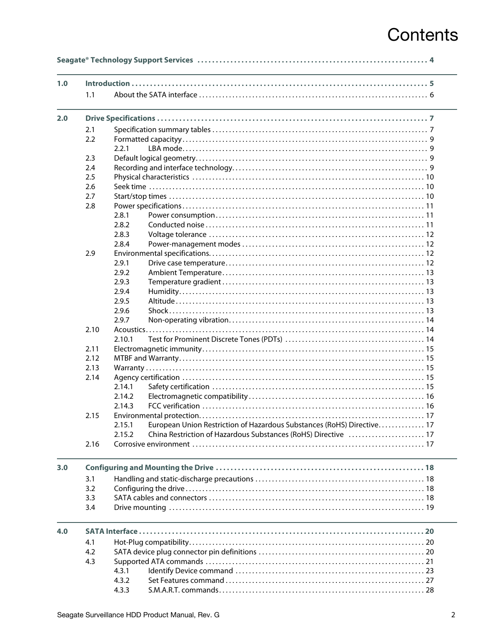## Contents

| 1.0 |      |        |                                                                        |  |
|-----|------|--------|------------------------------------------------------------------------|--|
|     | 1.1  |        |                                                                        |  |
| 2.0 |      |        |                                                                        |  |
|     | 2.1  |        |                                                                        |  |
|     | 2.2  |        |                                                                        |  |
|     |      | 2.2.1  |                                                                        |  |
|     | 2.3  |        |                                                                        |  |
|     | 2.4  |        |                                                                        |  |
|     | 2.5  |        |                                                                        |  |
|     | 2.6  |        |                                                                        |  |
|     | 2.7  |        |                                                                        |  |
|     | 2.8  |        |                                                                        |  |
|     |      | 2.8.1  |                                                                        |  |
|     |      | 2.8.2  |                                                                        |  |
|     |      | 2.8.3  |                                                                        |  |
|     |      | 2.8.4  |                                                                        |  |
|     | 2.9  |        |                                                                        |  |
|     |      | 2.9.1  |                                                                        |  |
|     |      | 2.9.2  |                                                                        |  |
|     |      | 2.9.3  |                                                                        |  |
|     |      | 2.9.4  |                                                                        |  |
|     |      | 2.9.5  |                                                                        |  |
|     |      | 2.9.6  |                                                                        |  |
|     |      | 2.9.7  |                                                                        |  |
|     | 2.10 |        |                                                                        |  |
|     |      | 2.10.1 |                                                                        |  |
|     | 2.11 |        |                                                                        |  |
|     | 2.12 |        |                                                                        |  |
|     | 2.13 |        |                                                                        |  |
|     | 2.14 |        |                                                                        |  |
|     |      | 2.14.1 |                                                                        |  |
|     |      | 2.14.2 |                                                                        |  |
|     |      | 2.14.3 |                                                                        |  |
|     | 2.15 |        |                                                                        |  |
|     |      | 2.15.1 | European Union Restriction of Hazardous Substances (RoHS) Directive 17 |  |
|     |      | 2.15.2 | China Restriction of Hazardous Substances (RoHS) Directive  17         |  |
|     | 2.16 |        |                                                                        |  |
|     |      |        |                                                                        |  |
| 3.0 |      |        |                                                                        |  |
|     | 3.1  |        |                                                                        |  |
|     | 3.2  |        |                                                                        |  |
|     | 3.3  |        |                                                                        |  |
|     | 3.4  |        |                                                                        |  |
| 4.0 |      |        |                                                                        |  |
|     | 4.1  |        |                                                                        |  |
|     | 4.2  |        |                                                                        |  |
|     | 4.3  |        |                                                                        |  |
|     |      | 4.3.1  |                                                                        |  |
|     |      | 4.3.2  |                                                                        |  |
|     |      |        |                                                                        |  |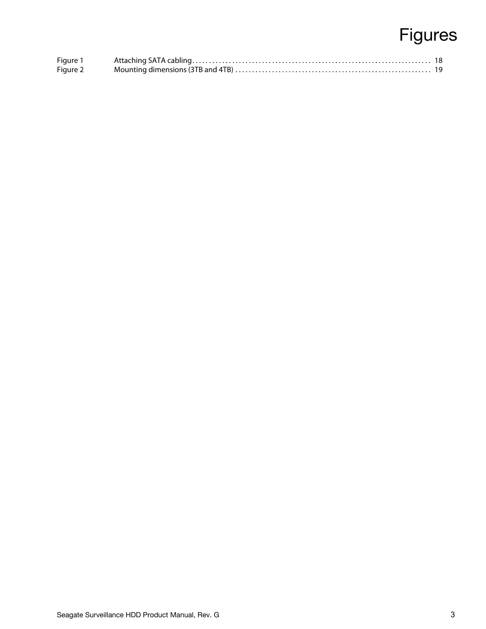## Figures

| Figure 1 |  |
|----------|--|
| Figure 2 |  |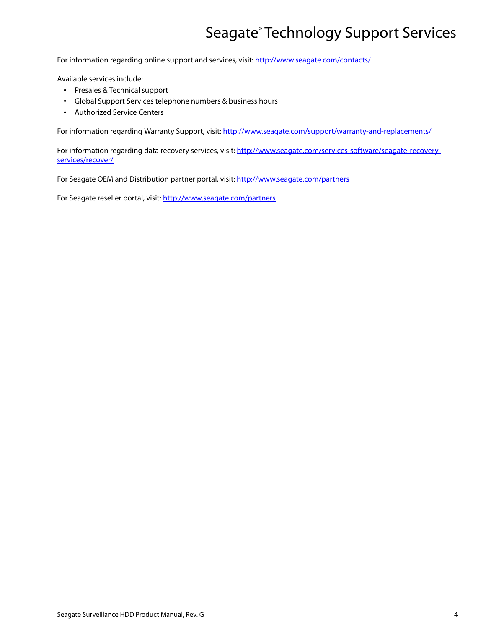## Seagate® Technology Support Services

<span id="page-4-0"></span>For information regarding online support and services, visit: [http://www.seagate.com/contacts/](http://www.seagate.com/about/contact-us/technical-support/)

Available services include:

- Presales & Technical support
- Global Support Services telephone numbers & business hours
- Authorized Service Centers

For information regarding Warranty Support, visit:<http://www.seagate.com/support/warranty-and-replacements/>

For information regarding data recovery services, visit: [http://www.seagate.com/services-software/seagate-recovery](http://www.seagate.com/services-software/data-recovery-services/)[services/recover/](http://www.seagate.com/services-software/data-recovery-services/)

For Seagate OEM and Distribution partner portal, visit:<http://www.seagate.com/partners>

For Seagate reseller portal, visit:<http://www.seagate.com/partners>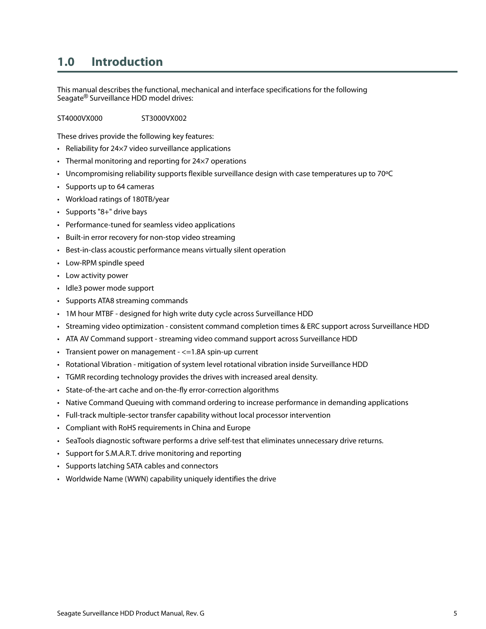## <span id="page-5-0"></span>**1.0 Introduction**

This manual describes the functional, mechanical and interface specifications for the following Seagate® Surveillance HDD model drives:

## ST4000VX000 ST3000VX002

These drives provide the following key features:

- Reliability for 24×7 video surveillance applications
- Thermal monitoring and reporting for 24×7 operations
- Uncompromising reliability supports flexible surveillance design with case temperatures up to 70ºC
- Supports up to 64 cameras
- Workload ratings of 180TB/year
- Supports "8+" drive bays
- Performance-tuned for seamless video applications
- Built-in error recovery for non-stop video streaming
- Best-in-class acoustic performance means virtually silent operation
- Low-RPM spindle speed
- Low activity power
- Idle3 power mode support
- Supports ATA8 streaming commands
- 1M hour MTBF designed for high write duty cycle across Surveillance HDD
- Streaming video optimization consistent command completion times & ERC support across Surveillance HDD
- ATA AV Command support streaming video command support across Surveillance HDD
- Transient power on management <=1.8A spin-up current
- Rotational Vibration mitigation of system level rotational vibration inside Surveillance HDD
- TGMR recording technology provides the drives with increased areal density.
- State-of-the-art cache and on-the-fly error-correction algorithms
- Native Command Queuing with command ordering to increase performance in demanding applications
- Full-track multiple-sector transfer capability without local processor intervention
- Compliant with RoHS requirements in China and Europe
- SeaTools diagnostic software performs a drive self-test that eliminates unnecessary drive returns.
- Support for S.M.A.R.T. drive monitoring and reporting
- Supports latching SATA cables and connectors
- Worldwide Name (WWN) capability uniquely identifies the drive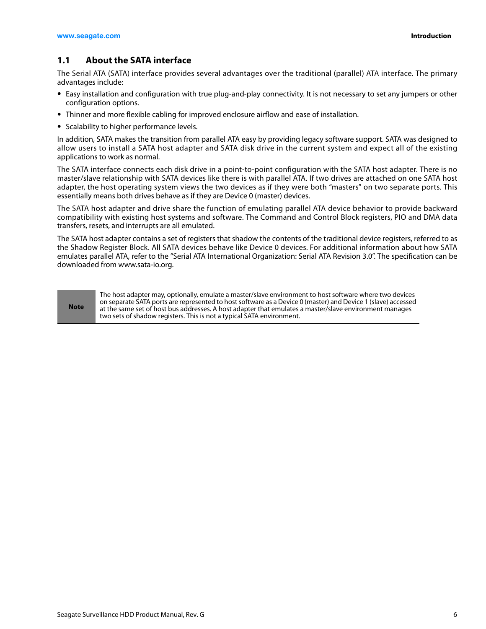## <span id="page-6-0"></span>**1.1 About the SATA interface**

The Serial ATA (SATA) interface provides several advantages over the traditional (parallel) ATA interface. The primary advantages include:

- Easy installation and configuration with true plug-and-play connectivity. It is not necessary to set any jumpers or other configuration options.
- Thinner and more flexible cabling for improved enclosure airflow and ease of installation.
- Scalability to higher performance levels.

In addition, SATA makes the transition from parallel ATA easy by providing legacy software support. SATA was designed to allow users to install a SATA host adapter and SATA disk drive in the current system and expect all of the existing applications to work as normal.

The SATA interface connects each disk drive in a point-to-point configuration with the SATA host adapter. There is no master/slave relationship with SATA devices like there is with parallel ATA. If two drives are attached on one SATA host adapter, the host operating system views the two devices as if they were both "masters" on two separate ports. This essentially means both drives behave as if they are Device 0 (master) devices.

The SATA host adapter and drive share the function of emulating parallel ATA device behavior to provide backward compatibility with existing host systems and software. The Command and Control Block registers, PIO and DMA data transfers, resets, and interrupts are all emulated.

The SATA host adapter contains a set of registers that shadow the contents of the traditional device registers, referred to as the Shadow Register Block. All SATA devices behave like Device 0 devices. For additional information about how SATA emulates parallel ATA, refer to the "Serial ATA International Organization: Serial ATA Revision 3.0". The specification can be downloaded from www.sata-io.org.

| <b>Note</b> | The host adapter may, optionally, emulate a master/slave environment to host software where two devices<br>on separate SATA ports are represented to host software as a Device 0 (master) and Device 1 (slave) accessed<br>at the same set of host bus addresses. A host adapter that emulates a master/slave environment manages<br>two sets of shadow registers. This is not a typical SATA environment. |
|-------------|------------------------------------------------------------------------------------------------------------------------------------------------------------------------------------------------------------------------------------------------------------------------------------------------------------------------------------------------------------------------------------------------------------|
|-------------|------------------------------------------------------------------------------------------------------------------------------------------------------------------------------------------------------------------------------------------------------------------------------------------------------------------------------------------------------------------------------------------------------------|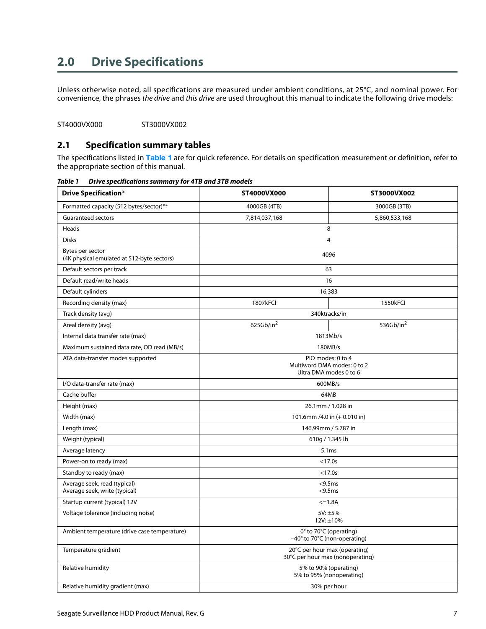## <span id="page-7-0"></span>**2.0 Drive Specifications**

Unless otherwise noted, all specifications are measured under ambient conditions, at 25°C, and nominal power. For convenience, the phrases the drive and this drive are used throughout this manual to indicate the following drive models:

ST4000VX000 ST3000VX002

## <span id="page-7-1"></span>**2.1 Specification summary tables**

The specifications listed in **Table 1** are for quick reference. For details on specification measurement or definition, refer to the appropriate section of this manual.

| <b>Drive Specification*</b>                                    | ST4000VX000                                                                | ST3000VX002   |  |
|----------------------------------------------------------------|----------------------------------------------------------------------------|---------------|--|
| Formatted capacity (512 bytes/sector)**                        | 4000GB (4TB)                                                               | 3000GB (3TB)  |  |
| <b>Guaranteed sectors</b>                                      | 7,814,037,168                                                              | 5,860,533,168 |  |
| Heads                                                          | 8                                                                          |               |  |
| <b>Disks</b>                                                   | $\overline{4}$                                                             |               |  |
| Bytes per sector<br>(4K physical emulated at 512-byte sectors) | 4096                                                                       |               |  |
| Default sectors per track                                      | 63                                                                         |               |  |
| Default read/write heads                                       | 16                                                                         |               |  |
| Default cylinders                                              | 16,383                                                                     |               |  |
| Recording density (max)                                        | 1807kFCI                                                                   | 1550kFCI      |  |
| Track density (avg)                                            | 340ktracks/in                                                              |               |  |
| Areal density (avg)                                            | 625Gb/in <sup>2</sup>                                                      | 536Gb/in $^2$ |  |
| Internal data transfer rate (max)                              | 1813Mb/s                                                                   |               |  |
| Maximum sustained data rate, OD read (MB/s)                    | 180MB/s                                                                    |               |  |
| ATA data-transfer modes supported                              | PIO modes: 0 to 4<br>Multiword DMA modes: 0 to 2<br>Ultra DMA modes 0 to 6 |               |  |
| I/O data-transfer rate (max)                                   | 600MB/s                                                                    |               |  |
| Cache buffer                                                   | 64MB                                                                       |               |  |
| Height (max)                                                   | 26.1mm / 1.028 in                                                          |               |  |
| Width (max)                                                    | 101.6mm /4.0 in $(\pm 0.010 \text{ in})$                                   |               |  |
| Length (max)                                                   | 146.99mm / 5.787 in                                                        |               |  |
| Weight (typical)                                               | 610g / 1.345 lb                                                            |               |  |
| Average latency                                                | 5.1ms                                                                      |               |  |
| Power-on to ready (max)                                        | < 17.0s                                                                    |               |  |
| Standby to ready (max)                                         | < 17.0s                                                                    |               |  |
| Average seek, read (typical)<br>Average seek, write (typical)  | $<$ 9.5 $ms$<br>$<$ 9.5 $ms$                                               |               |  |
| Startup current (typical) 12V                                  | $\leq 1.8A$                                                                |               |  |
| Voltage tolerance (including noise)                            | 5V:±5%<br>$12V: \pm 10\%$                                                  |               |  |
| Ambient temperature (drive case temperature)                   | 0° to 70°C (operating)<br>-40° to 70°C (non-operating)                     |               |  |
| Temperature gradient                                           | 20°C per hour max (operating)<br>30°C per hour max (nonoperating)          |               |  |
| Relative humidity                                              | 5% to 90% (operating)<br>5% to 95% (nonoperating)                          |               |  |
| Relative humidity gradient (max)                               | 30% per hour                                                               |               |  |
|                                                                |                                                                            |               |  |

*Table 1 Drive specifications summary for 4TB and 3TB models*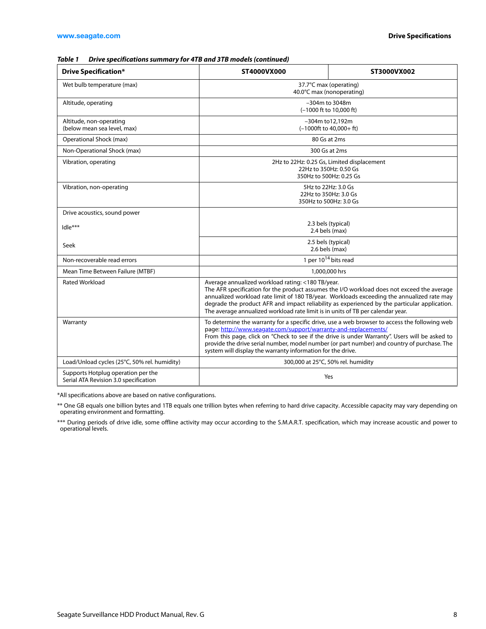## *Table 1 Drive specifications summary for 4TB and 3TB models (continued)*

| <b>Drive Specification*</b>                                                 | ST4000VX000<br>ST3000VX002                                                                                                                                                                                                                                                                                                                                                                                                       |                                                                                                 |  |
|-----------------------------------------------------------------------------|----------------------------------------------------------------------------------------------------------------------------------------------------------------------------------------------------------------------------------------------------------------------------------------------------------------------------------------------------------------------------------------------------------------------------------|-------------------------------------------------------------------------------------------------|--|
| Wet bulb temperature (max)                                                  | 37.7°C max (operating)<br>40.0°C max (nonoperating)                                                                                                                                                                                                                                                                                                                                                                              |                                                                                                 |  |
| Altitude, operating                                                         |                                                                                                                                                                                                                                                                                                                                                                                                                                  | -304m to 3048m<br>(-1000 ft to 10,000 ft)                                                       |  |
| Altitude, non-operating<br>(below mean sea level, max)                      |                                                                                                                                                                                                                                                                                                                                                                                                                                  | -304m to12,192m<br>$(-1000ft to 40.000 + ft)$                                                   |  |
| Operational Shock (max)                                                     |                                                                                                                                                                                                                                                                                                                                                                                                                                  | 80 Gs at 2ms                                                                                    |  |
| Non-Operational Shock (max)                                                 |                                                                                                                                                                                                                                                                                                                                                                                                                                  | 300 Gs at 2ms                                                                                   |  |
| Vibration, operating                                                        |                                                                                                                                                                                                                                                                                                                                                                                                                                  | 2Hz to 22Hz: 0.25 Gs, Limited displacement<br>22Hz to 350Hz: 0.50 Gs<br>350Hz to 500Hz: 0.25 Gs |  |
| Vibration, non-operating                                                    | 5Hz to 22Hz: 3.0 Gs<br>22Hz to 350Hz: 3.0 Gs<br>350Hz to 500Hz: 3.0 Gs                                                                                                                                                                                                                                                                                                                                                           |                                                                                                 |  |
| Drive acoustics, sound power                                                |                                                                                                                                                                                                                                                                                                                                                                                                                                  |                                                                                                 |  |
| Idle***                                                                     | 2.3 bels (typical)<br>2.4 bels (max)                                                                                                                                                                                                                                                                                                                                                                                             |                                                                                                 |  |
| Seek                                                                        | 2.5 bels (typical)<br>2.6 bels (max)                                                                                                                                                                                                                                                                                                                                                                                             |                                                                                                 |  |
| Non-recoverable read errors                                                 | 1 per 10 <sup>14</sup> bits read                                                                                                                                                                                                                                                                                                                                                                                                 |                                                                                                 |  |
| Mean Time Between Failure (MTBF)                                            | 1,000,000 hrs                                                                                                                                                                                                                                                                                                                                                                                                                    |                                                                                                 |  |
| <b>Rated Workload</b>                                                       | Average annualized workload rating: <180 TB/year.<br>The AFR specification for the product assumes the I/O workload does not exceed the average<br>annualized workload rate limit of 180 TB/year. Workloads exceeding the annualized rate may<br>degrade the product AFR and impact reliability as experienced by the particular application.<br>The average annualized workload rate limit is in units of TB per calendar year. |                                                                                                 |  |
| Warranty                                                                    | To determine the warranty for a specific drive, use a web browser to access the following web<br>page: http://www.seagate.com/support/warranty-and-replacements/<br>From this page, click on "Check to see if the drive is under Warranty". Users will be asked to<br>provide the drive serial number, model number (or part number) and country of purchase. The<br>system will display the warranty information for the drive. |                                                                                                 |  |
| Load/Unload cycles (25°C, 50% rel. humidity)                                | 300,000 at 25°C, 50% rel. humidity                                                                                                                                                                                                                                                                                                                                                                                               |                                                                                                 |  |
| Supports Hotplug operation per the<br>Serial ATA Revision 3.0 specification | Yes                                                                                                                                                                                                                                                                                                                                                                                                                              |                                                                                                 |  |

\*All specifications above are based on native configurations.

\*\* One GB equals one billion bytes and 1TB equals one trillion bytes when referring to hard drive capacity. Accessible capacity may vary depending on operating environment and formatting.

\*\*\* During periods of drive idle, some offline activity may occur according to the S.M.A.R.T. specification, which may increase acoustic and power to operational levels.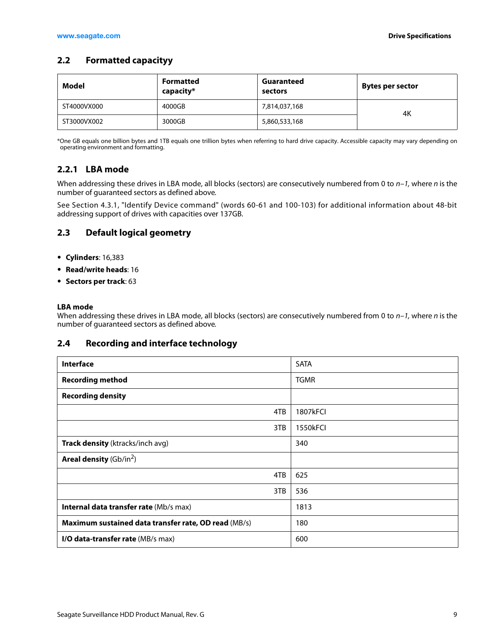## <span id="page-9-0"></span>**2.2 Formatted capacityy**

| Model       | Formatted<br>capacity* | Guaranteed<br>sectors | Bytes per sector |
|-------------|------------------------|-----------------------|------------------|
| ST4000VX000 | 4000GB                 | 7,814,037,168         | 4Κ               |
| ST3000VX002 | 3000GB                 | 5,860,533,168         |                  |

\*One GB equals one billion bytes and 1TB equals one trillion bytes when referring to hard drive capacity. Accessible capacity may vary depending on operating environment and formatting.

## <span id="page-9-1"></span>**2.2.1 LBA mode**

When addressing these drives in LBA mode, all blocks (sectors) are consecutively numbered from 0 to  $n-1$ , where n is the number of guaranteed sectors as defined above.

See [Section 4.3.1, "Identify Device command"](#page-23-0) (words 60-61 and 100-103) for additional information about 48-bit addressing support of drives with capacities over 137GB.

## <span id="page-9-2"></span>**2.3 Default logical geometry**

- **Cylinders**: 16,383
- **Read/write heads**: 16
- **Sectors per track**: 63

## **LBA mode**

When addressing these drives in LBA mode, all blocks (sectors) are consecutively numbered from 0 to  $n-1$ , where n is the number of guaranteed sectors as defined above.

## <span id="page-9-3"></span>**2.4 Recording and interface technology**

| <b>Interface</b>                                     | <b>SATA</b> |
|------------------------------------------------------|-------------|
| <b>Recording method</b>                              | <b>TGMR</b> |
| <b>Recording density</b>                             |             |
| 4TB                                                  | 1807kFCI    |
| 3TB                                                  | 1550kFCI    |
| Track density (ktracks/inch avg)                     | 340         |
| <b>Areal density</b> (Gb/in <sup>2</sup> )           |             |
| 4TB                                                  | 625         |
| 3TB                                                  | 536         |
| <b>Internal data transfer rate (Mb/s max)</b>        | 1813        |
| Maximum sustained data transfer rate, OD read (MB/s) | 180         |
| I/O data-transfer rate (MB/s max)                    | 600         |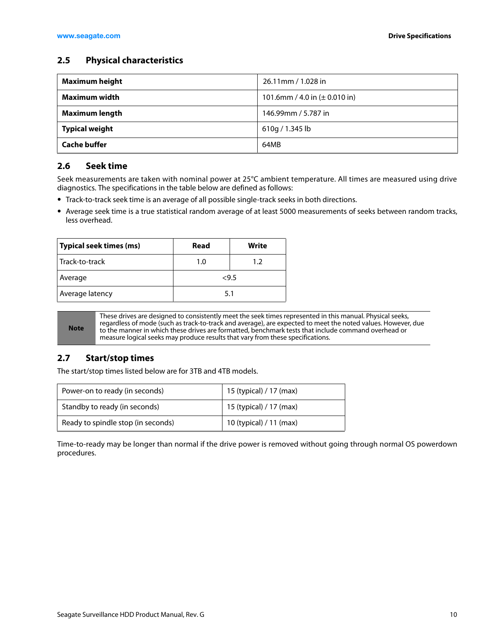## <span id="page-10-0"></span>**2.5 Physical characteristics**

| <b>Maximum height</b> | 26.11mm / 1.028 in                        |
|-----------------------|-------------------------------------------|
| Maximum width         | 101.6mm / 4.0 in $(\pm 0.010 \text{ in})$ |
| <b>Maximum length</b> | 146.99mm / 5.787 in                       |
| <b>Typical weight</b> | 610g / 1.345 lb                           |
| <b>Cache buffer</b>   | 64MB                                      |

## <span id="page-10-1"></span>**2.6 Seek time**

Seek measurements are taken with nominal power at 25°C ambient temperature. All times are measured using drive diagnostics. The specifications in the table below are defined as follows:

- Track-to-track seek time is an average of all possible single-track seeks in both directions.
- Average seek time is a true statistical random average of at least 5000 measurements of seeks between random tracks, less overhead.

| Typical seek times (ms) | Read | Write |
|-------------------------|------|-------|
| Track-to-track          | 1.0  | 1.2   |
| Average                 | <9.5 |       |
| Average latency         | 5.1  |       |

**Note**

These drives are designed to consistently meet the seek times represented in this manual. Physical seeks, regardless of mode (such as track-to-track and average), are expected to meet the noted values. However, due to the manner in which these drives are formatted, benchmark tests that include command overhead or measure logical seeks may produce results that vary from these specifications.

## <span id="page-10-2"></span>**2.7 Start/stop times**

The start/stop times listed below are for 3TB and 4TB models.

| Power-on to ready (in seconds)     | 15 (typical) / 17 (max) |  |
|------------------------------------|-------------------------|--|
| Standby to ready (in seconds)      | 15 (typical) / 17 (max) |  |
| Ready to spindle stop (in seconds) | 10 (typical) / 11 (max) |  |

Time-to-ready may be longer than normal if the drive power is removed without going through normal OS powerdown procedures.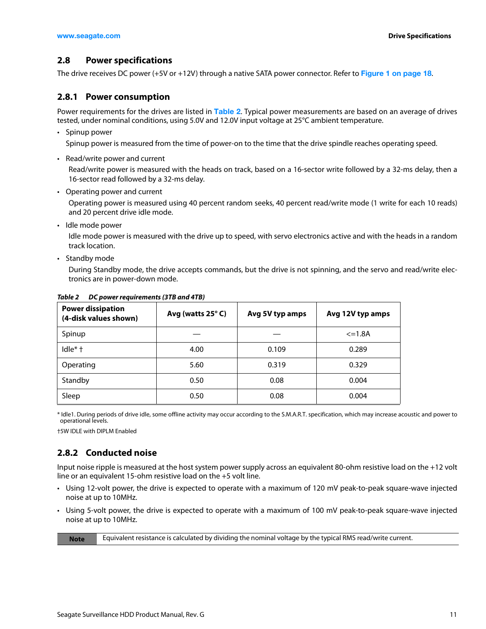## <span id="page-11-0"></span>**2.8 Power specifications**

The drive receives DC power (+5V or +12V) through a native SATA power connector. Refer to **[Figure 1 on page 18](#page-18-4)**.

## <span id="page-11-1"></span>**2.8.1 Power consumption**

Power requirements for the drives are listed in **[Table 2](#page-11-3)**. Typical power measurements are based on an average of drives tested, under nominal conditions, using 5.0V and 12.0V input voltage at 25°C ambient temperature.

• Spinup power

Spinup power is measured from the time of power-on to the time that the drive spindle reaches operating speed.

• Read/write power and current

Read/write power is measured with the heads on track, based on a 16-sector write followed by a 32-ms delay, then a 16-sector read followed by a 32-ms delay.

• Operating power and current

Operating power is measured using 40 percent random seeks, 40 percent read/write mode (1 write for each 10 reads) and 20 percent drive idle mode.

• Idle mode power

Idle mode power is measured with the drive up to speed, with servo electronics active and with the heads in a random track location.

• Standby mode

During Standby mode, the drive accepts commands, but the drive is not spinning, and the servo and read/write electronics are in power-down mode.

| <b>Power dissipation</b><br>(4-disk values shown) | Avg (watts 25°C) | Avg 5V typ amps | Avg 12V typ amps |
|---------------------------------------------------|------------------|-----------------|------------------|
| Spinup                                            |                  |                 | $\le$ = 1.8A     |
| $Idle* +$                                         | 4.00             | 0.109           | 0.289            |
| Operating                                         | 5.60             | 0.319           | 0.329            |
| Standby                                           | 0.50             | 0.08            | 0.004            |
| Sleep                                             | 0.50             | 0.08            | 0.004            |

<span id="page-11-3"></span>*Table 2 DC power requirements (3TB and 4TB)*

\* Idle1. During periods of drive idle, some offline activity may occur according to the S.M.A.R.T. specification, which may increase acoustic and power to operational levels.

†5W IDLE with DIPLM Enabled

## <span id="page-11-2"></span>**2.8.2 Conducted noise**

Input noise ripple is measured at the host system power supply across an equivalent 80-ohm resistive load on the +12 volt line or an equivalent 15-ohm resistive load on the +5 volt line.

- Using 12-volt power, the drive is expected to operate with a maximum of 120 mV peak-to-peak square-wave injected noise at up to 10MHz.
- Using 5-volt power, the drive is expected to operate with a maximum of 100 mV peak-to-peak square-wave injected noise at up to 10MHz.

**Note** Equivalent resistance is calculated by dividing the nominal voltage by the typical RMS read/write current.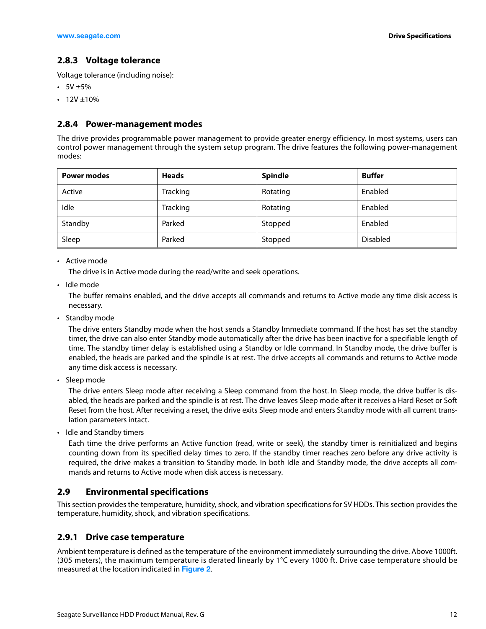## <span id="page-12-0"></span>**2.8.3 Voltage tolerance**

Voltage tolerance (including noise):

- $5V \pm 5\%$
- $12V \pm 10\%$

## <span id="page-12-1"></span>**2.8.4 Power-management modes**

The drive provides programmable power management to provide greater energy efficiency. In most systems, users can control power management through the system setup program. The drive features the following power-management modes:

| <b>Power modes</b> | <b>Heads</b>    | <b>Spindle</b> | <b>Buffer</b>   |
|--------------------|-----------------|----------------|-----------------|
| Active             | Tracking        | Rotating       | Enabled         |
| Idle               | <b>Tracking</b> | Rotating       | Enabled         |
| Standby            | Parked          | Stopped        | Enabled         |
| Sleep              | Parked          | Stopped        | <b>Disabled</b> |

• Active mode

The drive is in Active mode during the read/write and seek operations.

• Idle mode

The buffer remains enabled, and the drive accepts all commands and returns to Active mode any time disk access is necessary.

• Standby mode

The drive enters Standby mode when the host sends a Standby Immediate command. If the host has set the standby timer, the drive can also enter Standby mode automatically after the drive has been inactive for a specifiable length of time. The standby timer delay is established using a Standby or Idle command. In Standby mode, the drive buffer is enabled, the heads are parked and the spindle is at rest. The drive accepts all commands and returns to Active mode any time disk access is necessary.

• Sleep mode

The drive enters Sleep mode after receiving a Sleep command from the host. In Sleep mode, the drive buffer is disabled, the heads are parked and the spindle is at rest. The drive leaves Sleep mode after it receives a Hard Reset or Soft Reset from the host. After receiving a reset, the drive exits Sleep mode and enters Standby mode with all current translation parameters intact.

• Idle and Standby timers

Each time the drive performs an Active function (read, write or seek), the standby timer is reinitialized and begins counting down from its specified delay times to zero. If the standby timer reaches zero before any drive activity is required, the drive makes a transition to Standby mode. In both Idle and Standby mode, the drive accepts all commands and returns to Active mode when disk access is necessary.

## <span id="page-12-2"></span>**2.9 Environmental specifications**

This section provides the temperature, humidity, shock, and vibration specifications for SV HDDs. This section provides the temperature, humidity, shock, and vibration specifications.

## <span id="page-12-3"></span>**2.9.1 Drive case temperature**

Ambient temperature is defined as the temperature of the environment immediately surrounding the drive. Above 1000ft. (305 meters), the maximum temperature is derated linearly by 1°C every 1000 ft. Drive case temperature should be measured at the location indicated in **[Figure 2](#page-19-1)**.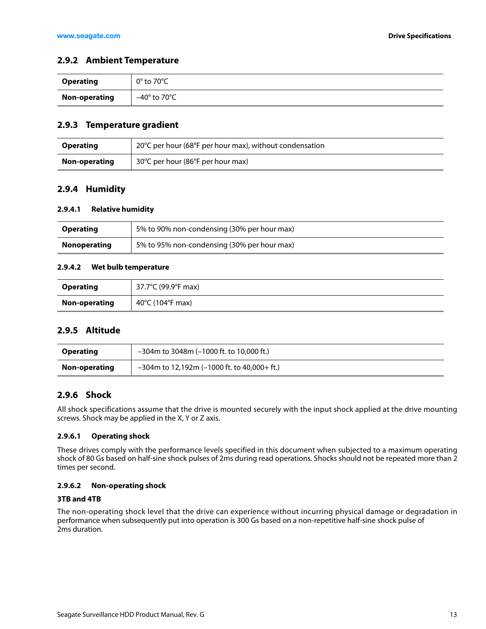## <span id="page-13-0"></span>**2.9.2 Ambient Temperature**

| <b>Operating</b>     | $0^\circ$ to 70°C                 |
|----------------------|-----------------------------------|
| <b>Non-operating</b> | –40 $^{\circ}$ to 70 $^{\circ}$ C |

## <span id="page-13-1"></span>**2.9.3 Temperature gradient**

| <b>Operating</b> | 20°C per hour (68°F per hour max), without condensation |  |  |
|------------------|---------------------------------------------------------|--|--|
| Non-operating    | 30°C per hour (86°F per hour max)                       |  |  |

## <span id="page-13-2"></span>**2.9.4 Humidity**

## **2.9.4.1 Relative humidity**

| <b>Operating</b> | 5% to 90% non-condensing (30% per hour max) |
|------------------|---------------------------------------------|
| Nonoperating     | 5% to 95% non-condensing (30% per hour max) |

## **2.9.4.2 Wet bulb temperature**

| <b>Operating</b> | 37.7°C (99.9°F max) |
|------------------|---------------------|
| Non-operating    | 40°C (104°F max)    |

## <span id="page-13-3"></span>**2.9.5 Altitude**

| <b>Operating</b> | $-304$ m to 3048m (-1000 ft. to 10,000 ft.)    |  |  |
|------------------|------------------------------------------------|--|--|
| Non-operating    | $-304$ m to 12,192m (-1000 ft. to 40,000+ ft.) |  |  |

## <span id="page-13-4"></span>**2.9.6 Shock**

All shock specifications assume that the drive is mounted securely with the input shock applied at the drive mounting screws. Shock may be applied in the X, Y or Z axis.

## **2.9.6.1 Operating shock**

These drives comply with the performance levels specified in this document when subjected to a maximum operating shock of 80 Gs based on half-sine shock pulses of 2ms during read operations. Shocks should not be repeated more than 2 times per second.

## **2.9.6.2 Non-operating shock**

## **3TB and 4TB**

The non-operating shock level that the drive can experience without incurring physical damage or degradation in performance when subsequently put into operation is 300 Gs based on a non-repetitive half-sine shock pulse of 2ms duration.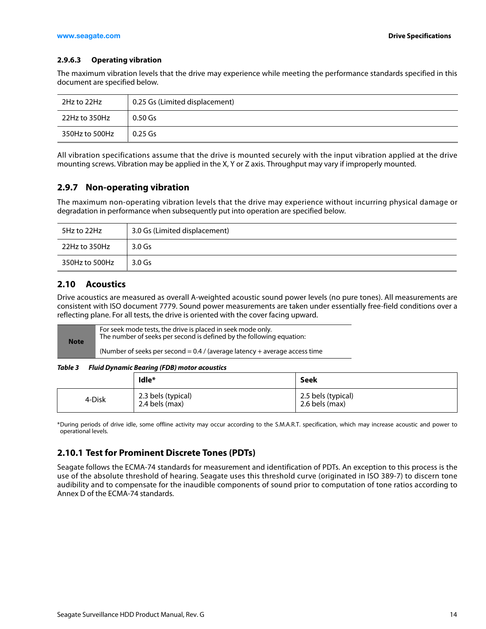## **2.9.6.3 Operating vibration**

The maximum vibration levels that the drive may experience while meeting the performance standards specified in this document are specified below.

| 2Hz to 22Hz    | 0.25 Gs (Limited displacement) |  |  |
|----------------|--------------------------------|--|--|
| 22Hz to 350Hz  | $0.50$ Gs                      |  |  |
| 350Hz to 500Hz | $0.25$ Gs                      |  |  |

All vibration specifications assume that the drive is mounted securely with the input vibration applied at the drive mounting screws. Vibration may be applied in the X, Y or Z axis. Throughput may vary if improperly mounted.

## <span id="page-14-0"></span>**2.9.7 Non-operating vibration**

The maximum non-operating vibration levels that the drive may experience without incurring physical damage or degradation in performance when subsequently put into operation are specified below.

| 5Hz to 22Hz    | 3.0 Gs (Limited displacement) |
|----------------|-------------------------------|
| 22Hz to 350Hz  | 3.0 <sub>5</sub>              |
| 350Hz to 500Hz | $3.0$ Gs                      |

## <span id="page-14-1"></span>**2.10 Acoustics**

Drive acoustics are measured as overall A-weighted acoustic sound power levels (no pure tones). All measurements are consistent with ISO document 7779. Sound power measurements are taken under essentially free-field conditions over a reflecting plane. For all tests, the drive is oriented with the cover facing upward.

| <b>Note</b> | For seek mode tests, the drive is placed in seek mode only.<br>The number of seeks per second is defined by the following equation: |
|-------------|-------------------------------------------------------------------------------------------------------------------------------------|
|             | (Number of seeks per second = $0.4$ / (average latency + average access time                                                        |

## *Table 3 Fluid Dynamic Bearing (FDB) motor acoustics*

|        | Idle*                                | Seek                                   |
|--------|--------------------------------------|----------------------------------------|
| 4-Disk | 2.3 bels (typical)<br>2.4 bels (max) | 2.5 bels (typical)<br>$2.6$ bels (max) |

\*During periods of drive idle, some offline activity may occur according to the S.M.A.R.T. specification, which may increase acoustic and power to operational levels.

## <span id="page-14-2"></span>**2.10.1 Test for Prominent Discrete Tones (PDTs)**

Seagate follows the ECMA-74 standards for measurement and identification of PDTs. An exception to this process is the use of the absolute threshold of hearing. Seagate uses this threshold curve (originated in ISO 389-7) to discern tone audibility and to compensate for the inaudible components of sound prior to computation of tone ratios according to Annex D of the ECMA-74 standards.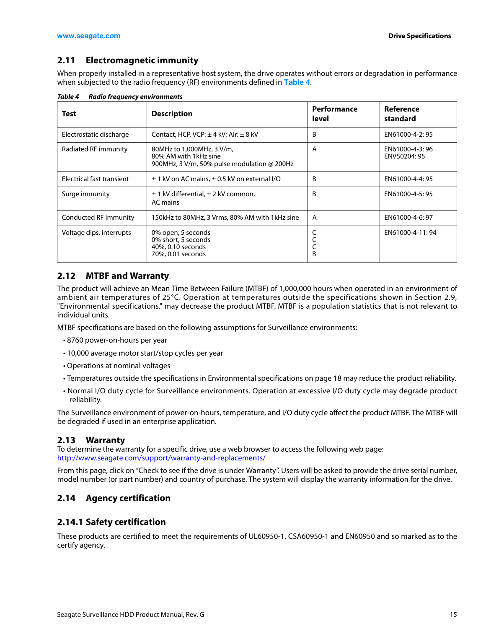## <span id="page-15-0"></span>**2.11 Electromagnetic immunity**

When properly installed in a representative host system, the drive operates without errors or degradation in performance when subjected to the radio frequency (RF) environments defined in **[Table 4](#page-15-5)**.

| Test                      | <b>Description</b>                                                                                | Performance<br>level | Reference<br>standard          |
|---------------------------|---------------------------------------------------------------------------------------------------|----------------------|--------------------------------|
| Electrostatic discharge   | Contact, HCP, VCP: $\pm$ 4 kV; Air: $\pm$ 8 kV                                                    | B                    | EN61000-4-2:95                 |
| Radiated RF immunity      | 80MHz to 1,000MHz, 3 V/m,<br>80% AM with 1kHz sine<br>900MHz, 3 V/m, 50% pulse modulation @ 200Hz | A                    | EN61000-4-3:96<br>ENV50204: 95 |
| Electrical fast transient | $\pm$ 1 kV on AC mains, $\pm$ 0.5 kV on external I/O                                              | B                    | EN61000-4-4:95                 |
| Surge immunity            | $\pm$ 1 kV differential, $\pm$ 2 kV common,<br>AC mains                                           | B                    | EN61000-4-5:95                 |
| Conducted RF immunity     | 150kHz to 80MHz, 3 Vrms, 80% AM with 1kHz sine                                                    | A                    | EN61000-4-6: 97                |
| Voltage dips, interrupts  | 0% open, 5 seconds<br>0% short, 5 seconds<br>40%, 0.10 seconds<br>70%, 0.01 seconds               |                      | EN61000-4-11:94                |

<span id="page-15-5"></span>*Table 4 Radio frequency environments*

## <span id="page-15-1"></span>**2.12 MTBF and Warranty**

The product will achieve an Mean Time Between Failure (MTBF) of 1,000,000 hours when operated in an environment of ambient air temperatures of 25°C. Operation at temperatures outside the specifications shown in [Section 2.9,](#page-12-2) ["Environmental specifications."](#page-12-2) may decrease the product MTBF. MTBF is a population statistics that is not relevant to individual units.

MTBF specifications are based on the following assumptions for Surveillance environments:

- 8760 power-on-hours per year
- 10,000 average motor start/stop cycles per year
- Operations at nominal voltages
- Temperatures outside the specifications in Environmental specifications on page 18 may reduce the product reliability.
- Normal I/O duty cycle for Surveillance environments. Operation at excessive I/O duty cycle may degrade product reliability.

The Surveillance environment of power-on-hours, temperature, and I/O duty cycle affect the product MTBF. The MTBF will be degraded if used in an enterprise application.

## <span id="page-15-2"></span>**2.13 Warranty**

To determine the warranty for a specific drive, use a web browser to access the following web page: [http://www.seag](http://www.seagate.com/support/warranty-and-replacements/)ate.com/support/warranty-and-replacements/

From this page, click on "Check to see if the drive is under Warranty". Users will be asked to provide the drive serial number, model number (or part number) and country of purchase. The system will display the warranty information for the drive.

## <span id="page-15-3"></span>**2.14 Agency certification**

## <span id="page-15-4"></span>**2.14.1 Safety certification**

These products are certified to meet the requirements of UL60950-1, CSA60950-1 and EN60950 and so marked as to the certify agency.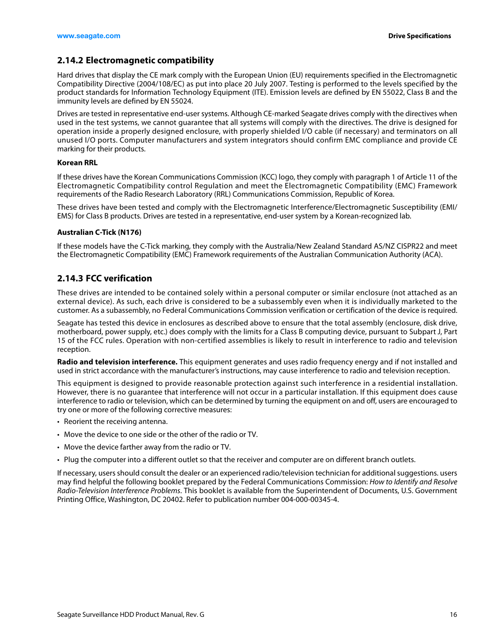## <span id="page-16-0"></span>**2.14.2 Electromagnetic compatibility**

Hard drives that display the CE mark comply with the European Union (EU) requirements specified in the Electromagnetic Compatibility Directive (2004/108/EC) as put into place 20 July 2007. Testing is performed to the levels specified by the product standards for Information Technology Equipment (ITE). Emission levels are defined by EN 55022, Class B and the immunity levels are defined by EN 55024.

Drives are tested in representative end-user systems. Although CE-marked Seagate drives comply with the directives when used in the test systems, we cannot guarantee that all systems will comply with the directives. The drive is designed for operation inside a properly designed enclosure, with properly shielded I/O cable (if necessary) and terminators on all unused I/O ports. Computer manufacturers and system integrators should confirm EMC compliance and provide CE marking for their products.

## **Korean RRL**

If these drives have the Korean Communications Commission (KCC) logo, they comply with paragraph 1 of Article 11 of the Electromagnetic Compatibility control Regulation and meet the Electromagnetic Compatibility (EMC) Framework requirements of the Radio Research Laboratory (RRL) Communications Commission, Republic of Korea.

These drives have been tested and comply with the Electromagnetic Interference/Electromagnetic Susceptibility (EMI/ EMS) for Class B products. Drives are tested in a representative, end-user system by a Korean-recognized lab.

## **Australian C-Tick (N176)**

If these models have the C-Tick marking, they comply with the Australia/New Zealand Standard AS/NZ CISPR22 and meet the Electromagnetic Compatibility (EMC) Framework requirements of the Australian Communication Authority (ACA).

## <span id="page-16-1"></span>**2.14.3 FCC verification**

These drives are intended to be contained solely within a personal computer or similar enclosure (not attached as an external device). As such, each drive is considered to be a subassembly even when it is individually marketed to the customer. As a subassembly, no Federal Communications Commission verification or certification of the device is required.

Seagate has tested this device in enclosures as described above to ensure that the total assembly (enclosure, disk drive, motherboard, power supply, etc.) does comply with the limits for a Class B computing device, pursuant to Subpart J, Part 15 of the FCC rules. Operation with non-certified assemblies is likely to result in interference to radio and television reception.

**Radio and television interference.** This equipment generates and uses radio frequency energy and if not installed and used in strict accordance with the manufacturer's instructions, may cause interference to radio and television reception.

This equipment is designed to provide reasonable protection against such interference in a residential installation. However, there is no guarantee that interference will not occur in a particular installation. If this equipment does cause interference to radio or television, which can be determined by turning the equipment on and off, users are encouraged to try one or more of the following corrective measures:

- Reorient the receiving antenna.
- Move the device to one side or the other of the radio or TV.
- Move the device farther away from the radio or TV.
- Plug the computer into a different outlet so that the receiver and computer are on different branch outlets.

If necessary, users should consult the dealer or an experienced radio/television technician for additional suggestions. users may find helpful the following booklet prepared by the Federal Communications Commission: How to Identify and Resolve Radio-Television Interference Problems. This booklet is available from the Superintendent of Documents, U.S. Government Printing Office, Washington, DC 20402. Refer to publication number 004-000-00345-4.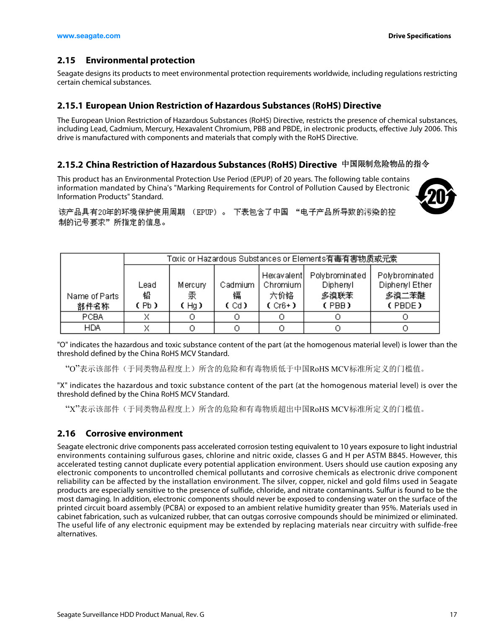## <span id="page-17-0"></span>**2.15 Environmental protection**

Seagate designs its products to meet environmental protection requirements worldwide, including regulations restricting certain chemical substances.

## <span id="page-17-1"></span>**2.15.1 European Union Restriction of Hazardous Substances (RoHS) Directive**

The European Union Restriction of Hazardous Substances (RoHS) Directive, restricts the presence of chemical substances, including Lead, Cadmium, Mercury, Hexavalent Chromium, PBB and PBDE, in electronic products, effective July 2006. This drive is manufactured with components and materials that comply with the RoHS Directive.

## <span id="page-17-2"></span>**2.15.2 China Restriction of Hazardous Substances (RoHS) Directive**  中国限制危险物品的指令

This product has an Environmental Protection Use Period (EPUP) of 20 years. The following table contains information mandated by China's "Marking Requirements for Control of Pollution Caused by Electronic Information Products" Standard.



该产品具有20年的环境保护使用周期 (EPUP)。 下表包含了中国 "电子产品所导致的污染的控 制的记号要求"所指定的信息。

|                       |                   | Toxic or Hazardous Substances or Elements有毒有害物质或元素 |                      |                                              |                                             |                                                     |
|-----------------------|-------------------|----------------------------------------------------|----------------------|----------------------------------------------|---------------------------------------------|-----------------------------------------------------|
| Name of Parts<br>部件名称 | Lead<br>铅<br>(Pb) | Mercury<br>汞<br>(Hg)                               | Cadmium<br>镉<br>(Cd) | Hexavalent<br>Chromium  <br>六价铬<br>$(Cr6+1)$ | Polybrominated<br>Diphenyl<br>多溴联苯<br>(PBB) | Polybrominated<br>Diphenyl Ether<br>多溴二苯醚<br>(PBDE) |
| PCBA                  |                   |                                                    |                      |                                              |                                             |                                                     |
| <b>HDA</b>            |                   |                                                    |                      |                                              |                                             |                                                     |

"O" indicates the hazardous and toxic substance content of the part (at the homogenous material level) is lower than the threshold defined by the China RoHS MCV Standard.

"O"表示该部件(于同类物品程度上)所含的危险和有毒物质低于中国RoHS MCV标准所定义的门槛值。

"X" indicates the hazardous and toxic substance content of the part (at the homogenous material level) is over the threshold defined by the China RoHS MCV Standard.

"X"表示该部件(于同类物品程度上)所含的危险和有毒物质超出中国RoHS MCV标准所定义的门槛值。

## <span id="page-17-3"></span>**2.16 Corrosive environment**

Seagate electronic drive components pass accelerated corrosion testing equivalent to 10 years exposure to light industrial environments containing sulfurous gases, chlorine and nitric oxide, classes G and H per ASTM B845. However, this accelerated testing cannot duplicate every potential application environment. Users should use caution exposing any electronic components to uncontrolled chemical pollutants and corrosive chemicals as electronic drive component reliability can be affected by the installation environment. The silver, copper, nickel and gold films used in Seagate products are especially sensitive to the presence of sulfide, chloride, and nitrate contaminants. Sulfur is found to be the most damaging. In addition, electronic components should never be exposed to condensing water on the surface of the printed circuit board assembly (PCBA) or exposed to an ambient relative humidity greater than 95%. Materials used in cabinet fabrication, such as vulcanized rubber, that can outgas corrosive compounds should be minimized or eliminated. The useful life of any electronic equipment may be extended by replacing materials near circuitry with sulfide-free alternatives.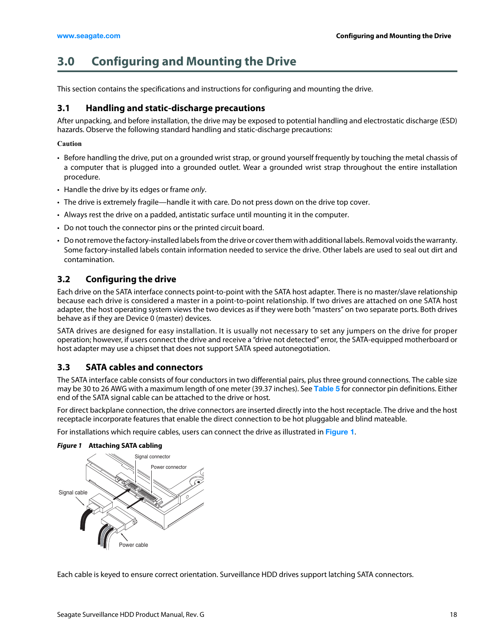## <span id="page-18-0"></span>**3.0 Configuring and Mounting the Drive**

This section contains the specifications and instructions for configuring and mounting the drive.

## <span id="page-18-1"></span>**3.1 Handling and static-discharge precautions**

After unpacking, and before installation, the drive may be exposed to potential handling and electrostatic discharge (ESD) hazards. Observe the following standard handling and static-discharge precautions:

## **Caution**

- Before handling the drive, put on a grounded wrist strap, or ground yourself frequently by touching the metal chassis of a computer that is plugged into a grounded outlet. Wear a grounded wrist strap throughout the entire installation procedure.
- Handle the drive by its edges or frame only.
- The drive is extremely fragile—handle it with care. Do not press down on the drive top cover.
- Always rest the drive on a padded, antistatic surface until mounting it in the computer.
- Do not touch the connector pins or the printed circuit board.
- Do not remove the factory-installed labels from the drive or cover them with additional labels. Removal voids the warranty. Some factory-installed labels contain information needed to service the drive. Other labels are used to seal out dirt and contamination.

## <span id="page-18-2"></span>**3.2 Configuring the drive**

Each drive on the SATA interface connects point-to-point with the SATA host adapter. There is no master/slave relationship because each drive is considered a master in a point-to-point relationship. If two drives are attached on one SATA host adapter, the host operating system views the two devices as if they were both "masters" on two separate ports. Both drives behave as if they are Device 0 (master) devices.

SATA drives are designed for easy installation. It is usually not necessary to set any jumpers on the drive for proper operation; however, if users connect the drive and receive a "drive not detected" error, the SATA-equipped motherboard or host adapter may use a chipset that does not support SATA speed autonegotiation.

## <span id="page-18-3"></span>**3.3 SATA cables and connectors**

The SATA interface cable consists of four conductors in two differential pairs, plus three ground connections. The cable size may be 30 to 26 AWG with a maximum length of one meter (39.37 inches). See **[Table 5](#page-20-3)** for connector pin definitions. Either end of the SATA signal cable can be attached to the drive or host.

For direct backplane connection, the drive connectors are inserted directly into the host receptacle. The drive and the host receptacle incorporate features that enable the direct connection to be hot pluggable and blind mateable.

For installations which require cables, users can connect the drive as illustrated in **[Figure 1](#page-18-4)**.

## <span id="page-18-4"></span>*Figure 1* **Attaching SATA cabling**



Each cable is keyed to ensure correct orientation. Surveillance HDD drives support latching SATA connectors.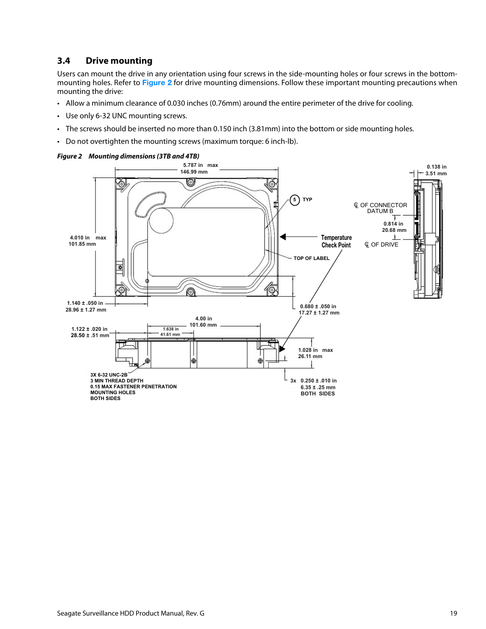## <span id="page-19-0"></span>**3.4 Drive mounting**

Users can mount the drive in any orientation using four screws in the side-mounting holes or four screws in the bottommounting holes. Refer to **[Figure 2](#page-19-1)** for drive mounting dimensions. Follow these important mounting precautions when mounting the drive:

- Allow a minimum clearance of 0.030 inches (0.76mm) around the entire perimeter of the drive for cooling.
- Use only 6-32 UNC mounting screws.
- The screws should be inserted no more than 0.150 inch (3.81mm) into the bottom or side mounting holes.
- Do not overtighten the mounting screws (maximum torque: 6 inch-lb).



#### <span id="page-19-1"></span>*Figure 2 Mounting dimensions (3TB and 4TB)*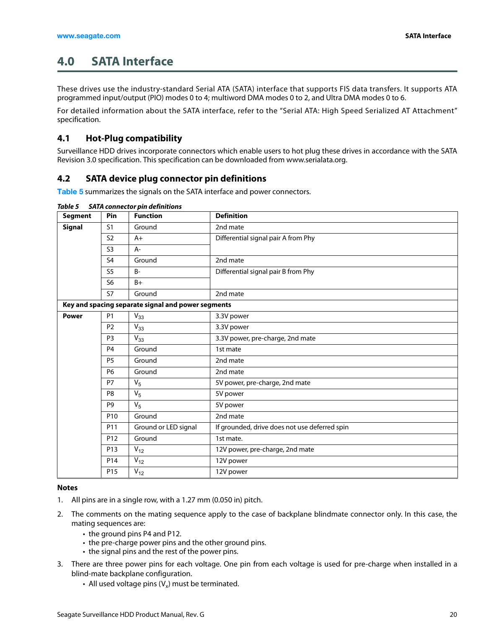## <span id="page-20-0"></span>**4.0 SATA Interface**

These drives use the industry-standard Serial ATA (SATA) interface that supports FIS data transfers. It supports ATA programmed input/output (PIO) modes 0 to 4; multiword DMA modes 0 to 2, and Ultra DMA modes 0 to 6.

For detailed information about the SATA interface, refer to the "Serial ATA: High Speed Serialized AT Attachment" specification.

## <span id="page-20-1"></span>**4.1 Hot-Plug compatibility**

Surveillance HDD drives incorporate connectors which enable users to hot plug these drives in accordance with the SATA Revision 3.0 specification. This specification can be downloaded from www.serialata.org.

## <span id="page-20-2"></span>**4.2 SATA device plug connector pin definitions**

**[Table 5](#page-20-3)** summarizes the signals on the SATA interface and power connectors.

| <b>Segment</b> | Pin             | <b>Function</b>                                    | <b>Definition</b>                             |
|----------------|-----------------|----------------------------------------------------|-----------------------------------------------|
| <b>Signal</b>  | S <sub>1</sub>  | Ground                                             | 2nd mate                                      |
|                | S <sub>2</sub>  | $A+$                                               | Differential signal pair A from Phy           |
|                | S <sub>3</sub>  | $A-$                                               |                                               |
|                | <b>S4</b>       | Ground                                             | 2nd mate                                      |
|                | S <sub>5</sub>  | $B -$                                              | Differential signal pair B from Phy           |
|                | S <sub>6</sub>  | $B+$                                               |                                               |
|                | S7              | Ground                                             | 2nd mate                                      |
|                |                 | Key and spacing separate signal and power segments |                                               |
| <b>Power</b>   | <b>P1</b>       | $V_{33}$                                           | 3.3V power                                    |
|                | P <sub>2</sub>  | $V_{33}$                                           | 3.3V power                                    |
|                | P <sub>3</sub>  | $V_{33}$                                           | 3.3V power, pre-charge, 2nd mate              |
|                | <b>P4</b>       | Ground                                             | 1st mate                                      |
|                | P <sub>5</sub>  | Ground                                             | 2nd mate                                      |
|                | <b>P6</b>       | Ground                                             | 2nd mate                                      |
|                | P7              | V <sub>5</sub>                                     | 5V power, pre-charge, 2nd mate                |
|                | P <sub>8</sub>  | $V_5$                                              | 5V power                                      |
|                | P <sub>9</sub>  | $V_5$                                              | 5V power                                      |
|                | P <sub>10</sub> | Ground                                             | 2nd mate                                      |
|                | P <sub>11</sub> | Ground or LED signal                               | If grounded, drive does not use deferred spin |
|                | P <sub>12</sub> | Ground                                             | 1st mate.                                     |
|                | P <sub>13</sub> | $V_{12}$                                           | 12V power, pre-charge, 2nd mate               |
|                | P14             | $V_{12}$                                           | 12V power                                     |
|                | P15             | $V_{12}$                                           | 12V power                                     |

## <span id="page-20-3"></span>*Table 5 SATA connector pin definitions*

## **Notes**

- 1. All pins are in a single row, with a 1.27 mm (0.050 in) pitch.
- 2. The comments on the mating sequence apply to the case of backplane blindmate connector only. In this case, the mating sequences are:
	- the ground pins P4 and P12.
	- the pre-charge power pins and the other ground pins.
	- the signal pins and the rest of the power pins.
- 3. There are three power pins for each voltage. One pin from each voltage is used for pre-charge when installed in a blind-mate backplane configuration.
	- All used voltage pins  $(V_x)$  must be terminated.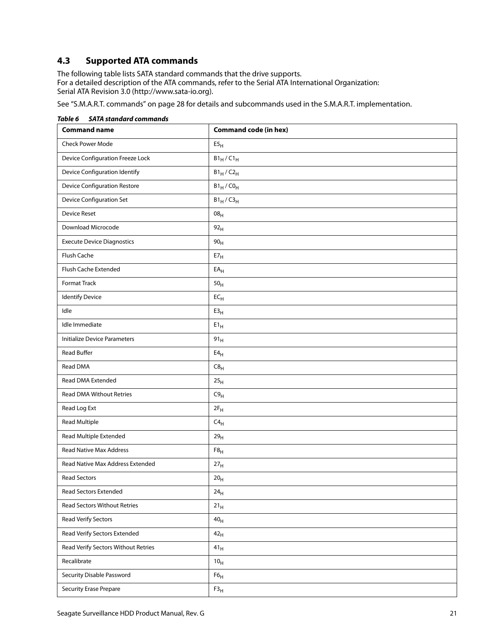## <span id="page-21-0"></span>**4.3 Supported ATA commands**

The following table lists SATA standard commands that the drive supports. For a detailed description of the ATA commands, refer to the Serial ATA International Organization: Serial ATA Revision 3.0 (http://www.sata-io.org).

[See "S.M.A.R.T. commands" on page 28 f](#page-28-0)or details and subcommands used in the S.M.A.R.T. implementation.

| <b>Command name</b>                 | <b>Command code (in hex)</b> |  |  |
|-------------------------------------|------------------------------|--|--|
| <b>Check Power Mode</b>             | E5 <sub>H</sub>              |  |  |
| Device Configuration Freeze Lock    | $B1_H/C1_H$                  |  |  |
| Device Configuration Identify       | $B1_H/C2_H$                  |  |  |
| <b>Device Configuration Restore</b> | $B1_H$ /CO <sub>H</sub>      |  |  |
| Device Configuration Set            | $B1_H/C3_H$                  |  |  |
| <b>Device Reset</b>                 | $08_H$                       |  |  |
| Download Microcode                  | 92 <sub>H</sub>              |  |  |
| <b>Execute Device Diagnostics</b>   | 90 <sub>H</sub>              |  |  |
| Flush Cache                         | ${\sf E7}_{\sf H}$           |  |  |
| Flush Cache Extended                | $EA_H$                       |  |  |
| Format Track                        | 50 <sub>H</sub>              |  |  |
| <b>Identify Device</b>              | $EC_{H}$                     |  |  |
| Idle                                | E3 <sub>H</sub>              |  |  |
| Idle Immediate                      | $E1_H$                       |  |  |
| <b>Initialize Device Parameters</b> | $91_H$                       |  |  |
| <b>Read Buffer</b>                  | $E4_H$                       |  |  |
| Read DMA                            | $C8_H$                       |  |  |
| Read DMA Extended                   | 25 <sub>H</sub>              |  |  |
| <b>Read DMA Without Retries</b>     | C9 <sub>H</sub>              |  |  |
| Read Log Ext                        | $2F_H$                       |  |  |
| Read Multiple                       | $C4_H$                       |  |  |
| Read Multiple Extended              | 29 <sub>H</sub>              |  |  |
| Read Native Max Address             | ${{\sf F8}_{\sf H}}$         |  |  |
| Read Native Max Address Extended    | 27 <sub>H</sub>              |  |  |
| <b>Read Sectors</b>                 | $20_{\rm H}$                 |  |  |
| Read Sectors Extended               | 24 <sub>H</sub>              |  |  |
| Read Sectors Without Retries        | 21 <sub>H</sub>              |  |  |
| <b>Read Verify Sectors</b>          | $40_H$                       |  |  |
| Read Verify Sectors Extended        | 42 <sub>H</sub>              |  |  |
| Read Verify Sectors Without Retries | $41_H$                       |  |  |
| Recalibrate                         | 10 <sub>H</sub>              |  |  |
| Security Disable Password           | $\mathsf{F6}_\mathsf{H}$     |  |  |
| <b>Security Erase Prepare</b>       | $\mathsf{F3}_\mathsf{H}$     |  |  |

*Table 6 SATA standard commands*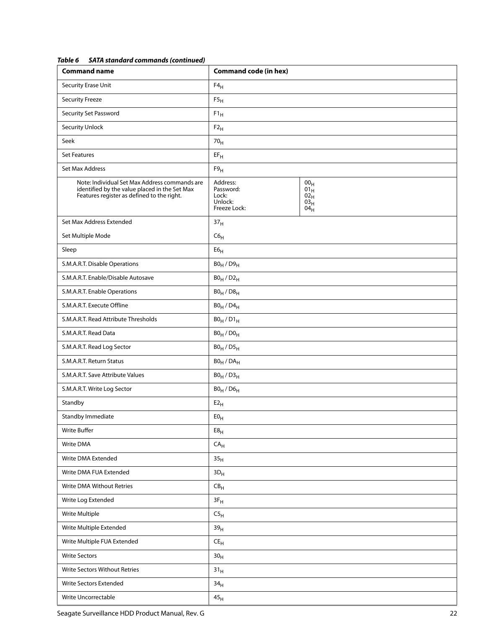| <b>Command name</b>                                                                                                                          | <b>Command code (in hex)</b>                                                                                                           |  |  |
|----------------------------------------------------------------------------------------------------------------------------------------------|----------------------------------------------------------------------------------------------------------------------------------------|--|--|
| Security Erase Unit                                                                                                                          | $F4_H$                                                                                                                                 |  |  |
| <b>Security Freeze</b>                                                                                                                       | F5 <sub>H</sub>                                                                                                                        |  |  |
| Security Set Password                                                                                                                        | $F1_H$                                                                                                                                 |  |  |
| <b>Security Unlock</b>                                                                                                                       | $F2_H$                                                                                                                                 |  |  |
| Seek                                                                                                                                         | 70 <sub>H</sub>                                                                                                                        |  |  |
| <b>Set Features</b>                                                                                                                          | $\text{EF}_{\text{H}}$                                                                                                                 |  |  |
| <b>Set Max Address</b>                                                                                                                       | F9 <sub>H</sub>                                                                                                                        |  |  |
| Note: Individual Set Max Address commands are<br>identified by the value placed in the Set Max<br>Features register as defined to the right. | Address:<br>00 <sub>H</sub><br>Password:<br>$01_H$<br>Lock:<br>$02_{\text{H}}$<br>Unlock:<br>03 <sub>H</sub><br>Freeze Lock:<br>$04_H$ |  |  |
| Set Max Address Extended                                                                                                                     | 37 <sub>H</sub>                                                                                                                        |  |  |
| Set Multiple Mode                                                                                                                            | $C6_H$                                                                                                                                 |  |  |
| Sleep                                                                                                                                        | E6 <sub>H</sub>                                                                                                                        |  |  |
| S.M.A.R.T. Disable Operations                                                                                                                | $B0_H / D9_H$                                                                                                                          |  |  |
| S.M.A.R.T. Enable/Disable Autosave                                                                                                           | $B0_H/D2_H$                                                                                                                            |  |  |
| S.M.A.R.T. Enable Operations                                                                                                                 | $B0_H$ / $D8_H$                                                                                                                        |  |  |
| S.M.A.R.T. Execute Offline                                                                                                                   | $B0_H / D4_H$                                                                                                                          |  |  |
| S.M.A.R.T. Read Attribute Thresholds                                                                                                         | $B0_H/D1_H$                                                                                                                            |  |  |
| S.M.A.R.T. Read Data                                                                                                                         | $BO_H / DO_H$                                                                                                                          |  |  |
| S.M.A.R.T. Read Log Sector                                                                                                                   | $B0_H / D5_H$                                                                                                                          |  |  |
| S.M.A.R.T. Return Status                                                                                                                     | $B0_H$ / $DA_H$                                                                                                                        |  |  |
| S.M.A.R.T. Save Attribute Values                                                                                                             | $B0_H / D3_H$                                                                                                                          |  |  |
| S.M.A.R.T. Write Log Sector                                                                                                                  | $B0_H$ / $D6_H$                                                                                                                        |  |  |
| Standby                                                                                                                                      | $E2_H$                                                                                                                                 |  |  |
| <b>Standby Immediate</b>                                                                                                                     | ${\rm E0}_{\rm H}$                                                                                                                     |  |  |
| Write Buffer                                                                                                                                 | E8 <sub>H</sub>                                                                                                                        |  |  |
| Write DMA                                                                                                                                    | $\mathsf{CA}_{\mathsf{H}}$                                                                                                             |  |  |
| Write DMA Extended                                                                                                                           | 35 <sub>H</sub>                                                                                                                        |  |  |
| Write DMA FUA Extended                                                                                                                       | $3D_H$                                                                                                                                 |  |  |
| Write DMA Without Retries                                                                                                                    | $CB_{H}$                                                                                                                               |  |  |
| Write Log Extended                                                                                                                           | $3F_H$                                                                                                                                 |  |  |
| Write Multiple                                                                                                                               | C5 <sub>H</sub>                                                                                                                        |  |  |
| Write Multiple Extended                                                                                                                      | 39 <sub>H</sub>                                                                                                                        |  |  |
| Write Multiple FUA Extended                                                                                                                  | $CE_{H}$                                                                                                                               |  |  |
| <b>Write Sectors</b>                                                                                                                         | 30 <sub>H</sub>                                                                                                                        |  |  |
| <b>Write Sectors Without Retries</b>                                                                                                         | 31 <sub>H</sub>                                                                                                                        |  |  |
| Write Sectors Extended                                                                                                                       | 34 <sub>H</sub>                                                                                                                        |  |  |
| Write Uncorrectable                                                                                                                          | $45_{\rm H}$                                                                                                                           |  |  |

## *Table 6 SATA standard commands (continued)*

Seagate Surveillance HDD Product Manual, Rev. G 22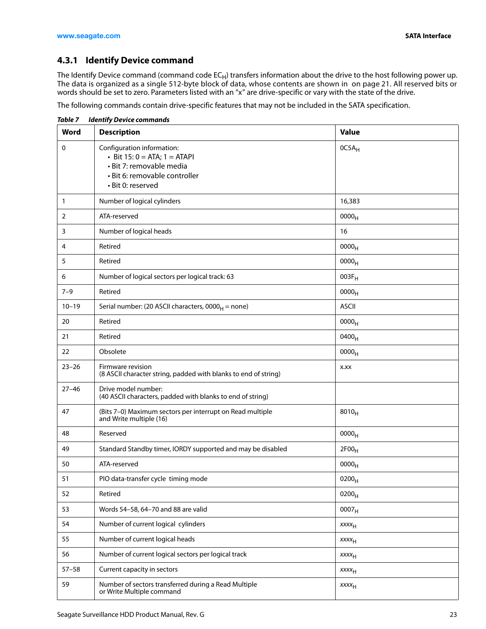## <span id="page-23-0"></span>**4.3.1 Identify Device command**

The Identify Device command (command code EC<sub>H</sub>) transfers information about the drive to the host following power up. The data is organized as a single 512-byte block of data, whose contents are shown in on page 21. All reserved bits or words should be set to zero. Parameters listed with an "x" are drive-specific or vary with the state of the drive.

The following commands contain drive-specific features that may not be included in the SATA specification.

| Word         | <b>Description</b>                                                                                                                               | <b>Value</b>        |
|--------------|--------------------------------------------------------------------------------------------------------------------------------------------------|---------------------|
| 0            | Configuration information:<br>• Bit $15:0 = ATA$ ; $1 = ATAPI$<br>· Bit 7: removable media<br>· Bit 6: removable controller<br>• Bit 0: reserved | $OC5A_H$            |
| $\mathbf{1}$ | Number of logical cylinders                                                                                                                      | 16,383              |
| 2            | ATA-reserved                                                                                                                                     | 0000 <sub>H</sub>   |
| 3            | Number of logical heads                                                                                                                          | 16                  |
| 4            | Retired                                                                                                                                          | 0000 <sub>H</sub>   |
| 5            | Retired                                                                                                                                          | 0000 <sub>H</sub>   |
| 6            | Number of logical sectors per logical track: 63                                                                                                  | $003F_H$            |
| $7 - 9$      | Retired                                                                                                                                          | 0000 <sub>H</sub>   |
| $10 - 19$    | Serial number: (20 ASCII characters, $0000_H$ = none)                                                                                            | <b>ASCII</b>        |
| 20           | Retired                                                                                                                                          | 0000 <sub>H</sub>   |
| 21           | Retired                                                                                                                                          | 0400 <sub>H</sub>   |
| 22           | Obsolete                                                                                                                                         | 0000 <sub>H</sub>   |
| $23 - 26$    | Firmware revision<br>(8 ASCII character string, padded with blanks to end of string)                                                             | X.XX                |
| $27 - 46$    | Drive model number:<br>(40 ASCII characters, padded with blanks to end of string)                                                                |                     |
| 47           | (Bits 7-0) Maximum sectors per interrupt on Read multiple<br>and Write multiple (16)                                                             | 8010 <sub>H</sub>   |
| 48           | Reserved                                                                                                                                         | 0000 <sub>H</sub>   |
| 49           | Standard Standby timer, IORDY supported and may be disabled                                                                                      | 2F00 <sub>H</sub>   |
| 50           | ATA-reserved                                                                                                                                     | 0000 <sub>H</sub>   |
| 51           | PIO data-transfer cycle timing mode                                                                                                              | $0200_{\mathsf{H}}$ |
| 52           | Retired                                                                                                                                          | 0200 <sub>H</sub>   |
| 53           | Words 54-58, 64-70 and 88 are valid                                                                                                              | 0007 <sub>H</sub>   |
| 54           | Number of current logical cylinders                                                                                                              | $xxxx_{H}$          |
| 55           | Number of current logical heads                                                                                                                  | $xxxx_{H}$          |
| 56           | Number of current logical sectors per logical track                                                                                              | $xxxx_{H}$          |
| $57 - 58$    | Current capacity in sectors                                                                                                                      | $xxxx_{H}$          |
| 59           | Number of sectors transferred during a Read Multiple<br>or Write Multiple command                                                                | XXXH                |

*Table 7 Identify Device commands*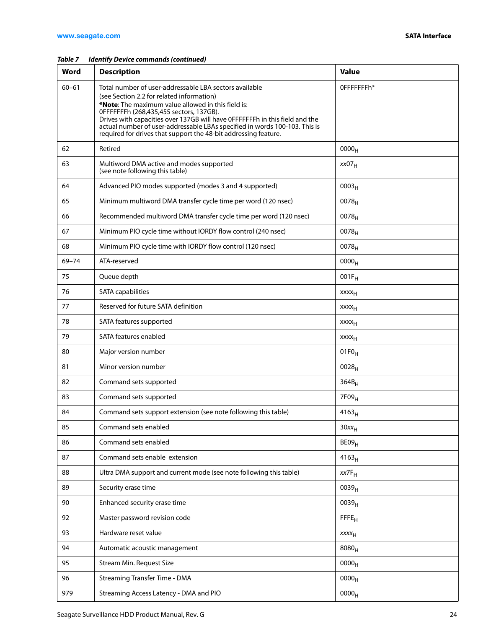## *Table 7 Identify Device commands (continued)*

| <b>Word</b> | <b>Description</b>                                                                                                                                                                                                                                                                                                                                                                                                                   | <b>Value</b>            |
|-------------|--------------------------------------------------------------------------------------------------------------------------------------------------------------------------------------------------------------------------------------------------------------------------------------------------------------------------------------------------------------------------------------------------------------------------------------|-------------------------|
| $60 - 61$   | Total number of user-addressable LBA sectors available<br>(see Section 2.2 for related information)<br>*Note: The maximum value allowed in this field is:<br>0FFFFFFFh (268,435,455 sectors, 137GB).<br>Drives with capacities over 137GB will have OFFFFFFFh in this field and the<br>actual number of user-addressable LBAs specified in words 100-103. This is<br>required for drives that support the 48-bit addressing feature. | OFFFFFFFh*              |
| 62          | Retired                                                                                                                                                                                                                                                                                                                                                                                                                              | 0000 <sub>H</sub>       |
| 63          | Multiword DMA active and modes supported<br>(see note following this table)                                                                                                                                                                                                                                                                                                                                                          | xx07 <sub>H</sub>       |
| 64          | Advanced PIO modes supported (modes 3 and 4 supported)                                                                                                                                                                                                                                                                                                                                                                               | 0003 <sub>H</sub>       |
| 65          | Minimum multiword DMA transfer cycle time per word (120 nsec)                                                                                                                                                                                                                                                                                                                                                                        | 0078 <sub>H</sub>       |
| 66          | Recommended multiword DMA transfer cycle time per word (120 nsec)                                                                                                                                                                                                                                                                                                                                                                    | $0078_H$                |
| 67          | Minimum PIO cycle time without IORDY flow control (240 nsec)                                                                                                                                                                                                                                                                                                                                                                         | 0078 <sub>H</sub>       |
| 68          | Minimum PIO cycle time with IORDY flow control (120 nsec)                                                                                                                                                                                                                                                                                                                                                                            | $0078_H$                |
| $69 - 74$   | ATA-reserved                                                                                                                                                                                                                                                                                                                                                                                                                         | 0000 <sub>H</sub>       |
| 75          | Queue depth                                                                                                                                                                                                                                                                                                                                                                                                                          | $001F_H$                |
| 76          | SATA capabilities                                                                                                                                                                                                                                                                                                                                                                                                                    | <b>XXXX<sub>H</sub></b> |
| 77          | Reserved for future SATA definition                                                                                                                                                                                                                                                                                                                                                                                                  | <b>XXXX<sub>H</sub></b> |
| 78          | SATA features supported                                                                                                                                                                                                                                                                                                                                                                                                              | <b>XXXX<sub>H</sub></b> |
| 79          | SATA features enabled                                                                                                                                                                                                                                                                                                                                                                                                                | <b>XXXX<sub>H</sub></b> |
| 80          | Major version number                                                                                                                                                                                                                                                                                                                                                                                                                 | $01F0_H$                |
| 81          | Minor version number                                                                                                                                                                                                                                                                                                                                                                                                                 | $0028_H$                |
| 82          | Command sets supported                                                                                                                                                                                                                                                                                                                                                                                                               | 364B <sub>H</sub>       |
| 83          | Command sets supported                                                                                                                                                                                                                                                                                                                                                                                                               | 7F09 <sub>H</sub>       |
| 84          | Command sets support extension (see note following this table)                                                                                                                                                                                                                                                                                                                                                                       | $4163_H$                |
| 85          | Command sets enabled                                                                                                                                                                                                                                                                                                                                                                                                                 | $30xx_H$                |
| 86          | Command sets enabled                                                                                                                                                                                                                                                                                                                                                                                                                 | BE09 <sub>H</sub>       |
| 87          | Command sets enable extension                                                                                                                                                                                                                                                                                                                                                                                                        | $4163_H$                |
| 88          | Ultra DMA support and current mode (see note following this table)                                                                                                                                                                                                                                                                                                                                                                   | $xx7F_H$                |
| 89          | Security erase time                                                                                                                                                                                                                                                                                                                                                                                                                  | 0039 <sub>H</sub>       |
| 90          | Enhanced security erase time                                                                                                                                                                                                                                                                                                                                                                                                         | 0039 <sub>H</sub>       |
| 92          | Master password revision code                                                                                                                                                                                                                                                                                                                                                                                                        | FFE <sub>H</sub>        |
| 93          | Hardware reset value                                                                                                                                                                                                                                                                                                                                                                                                                 | $xxxx_{H}$              |
| 94          | Automatic acoustic management                                                                                                                                                                                                                                                                                                                                                                                                        | $8080_H$                |
| 95          | Stream Min. Request Size                                                                                                                                                                                                                                                                                                                                                                                                             | 0000 <sub>H</sub>       |
| 96          | <b>Streaming Transfer Time - DMA</b>                                                                                                                                                                                                                                                                                                                                                                                                 | 0000 <sub>H</sub>       |
| 979         | Streaming Access Latency - DMA and PIO                                                                                                                                                                                                                                                                                                                                                                                               | $0000_H$                |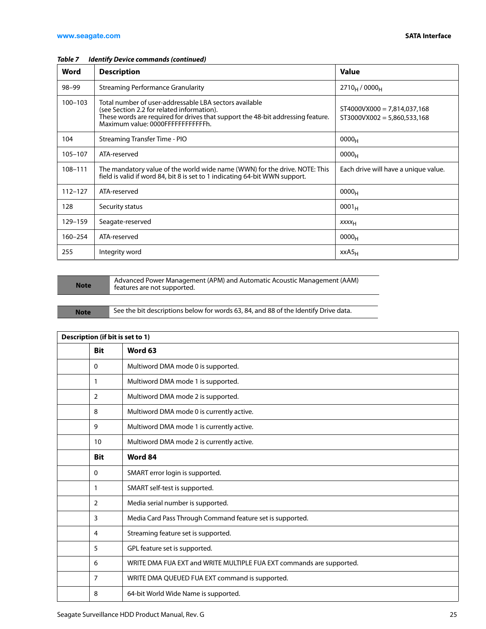## *Table 7 Identify Device commands (continued)*

| Word        | <b>Description</b>                                                                                                                                                                                                           | <b>Value</b>                                                   |  |
|-------------|------------------------------------------------------------------------------------------------------------------------------------------------------------------------------------------------------------------------------|----------------------------------------------------------------|--|
| $98 - 99$   | <b>Streaming Performance Granularity</b>                                                                                                                                                                                     | $2710_H / 0000_H$                                              |  |
| $100 - 103$ | Total number of user-addressable LBA sectors available<br>(see Section 2.2 for related information).<br>These words are required for drives that support the 48-bit addressing feature.<br>Maximum value: 0000FFFFFFFFFFFFF. | $ST4000VX000 = 7,814,037,168$<br>$ST3000VX002 = 5,860,533,168$ |  |
| 104         | Streaming Transfer Time - PIO                                                                                                                                                                                                | 0000 <sub>H</sub>                                              |  |
| $105 - 107$ | ATA-reserved                                                                                                                                                                                                                 | 0000 <sub>H</sub>                                              |  |
| 108-111     | The mandatory value of the world wide name (WWN) for the drive. NOTE: This<br>field is valid if word 84, bit 8 is set to 1 indicating 64-bit WWN support.                                                                    | Each drive will have a unique value.                           |  |
| $112 - 127$ | ATA-reserved                                                                                                                                                                                                                 | 0000 <sub>H</sub>                                              |  |
| 128         | Security status                                                                                                                                                                                                              | $0001_H$                                                       |  |
| 129-159     | Seagate-reserved                                                                                                                                                                                                             | <b>XXXX<sub>H</sub></b>                                        |  |
| $160 - 254$ | ATA-reserved                                                                                                                                                                                                                 | $0000_H$                                                       |  |
| 255         | Integrity word                                                                                                                                                                                                               | $XXAS_H$                                                       |  |

**Note** Advanced Power Management (APM) and Automatic Acoustic Management (AAM) **Note** features are not supported.

Note See the bit descriptions below for words 63, 84, and 88 of the Identify Drive data.

| Description (if bit is set to 1) |  |                                                                      |  |  |
|----------------------------------|--|----------------------------------------------------------------------|--|--|
| <b>Bit</b>                       |  | Word 63                                                              |  |  |
| 0                                |  | Multiword DMA mode 0 is supported.                                   |  |  |
| 1                                |  | Multiword DMA mode 1 is supported.                                   |  |  |
| $\overline{2}$                   |  | Multiword DMA mode 2 is supported.                                   |  |  |
| 8                                |  | Multiword DMA mode 0 is currently active.                            |  |  |
| 9                                |  | Multiword DMA mode 1 is currently active.                            |  |  |
| 10                               |  | Multiword DMA mode 2 is currently active.                            |  |  |
| <b>Bit</b>                       |  | Word 84                                                              |  |  |
| 0                                |  | SMART error login is supported.                                      |  |  |
| 1                                |  | SMART self-test is supported.                                        |  |  |
| $\overline{2}$                   |  | Media serial number is supported.                                    |  |  |
| 3                                |  | Media Card Pass Through Command feature set is supported.            |  |  |
| 4                                |  | Streaming feature set is supported.                                  |  |  |
| 5                                |  | GPL feature set is supported.                                        |  |  |
| 6                                |  | WRITE DMA FUA EXT and WRITE MULTIPLE FUA EXT commands are supported. |  |  |
| 7                                |  | WRITE DMA QUEUED FUA EXT command is supported.                       |  |  |
| 8                                |  | 64-bit World Wide Name is supported.                                 |  |  |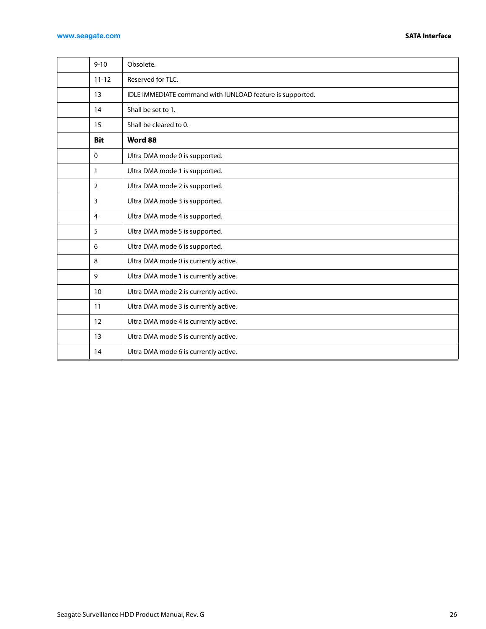## **[www.seagate.com](http://www.seagate.com) SATA Interface**

| $9 - 10$       | Obsolete.                                                 |
|----------------|-----------------------------------------------------------|
| $11 - 12$      | Reserved for TLC.                                         |
| 13             | IDLE IMMEDIATE command with IUNLOAD feature is supported. |
| 14             | Shall be set to 1.                                        |
| 15             | Shall be cleared to 0.                                    |
| <b>Bit</b>     | Word 88                                                   |
| 0              | Ultra DMA mode 0 is supported.                            |
| 1              | Ultra DMA mode 1 is supported.                            |
| $\overline{2}$ | Ultra DMA mode 2 is supported.                            |
| 3              | Ultra DMA mode 3 is supported.                            |
| 4              | Ultra DMA mode 4 is supported.                            |
| 5              | Ultra DMA mode 5 is supported.                            |
| 6              | Ultra DMA mode 6 is supported.                            |
| 8              | Ultra DMA mode 0 is currently active.                     |
| 9              | Ultra DMA mode 1 is currently active.                     |
| 10             | Ultra DMA mode 2 is currently active.                     |
| 11             | Ultra DMA mode 3 is currently active.                     |
| 12             | Ultra DMA mode 4 is currently active.                     |
| 13             | Ultra DMA mode 5 is currently active.                     |
| 14             | Ultra DMA mode 6 is currently active.                     |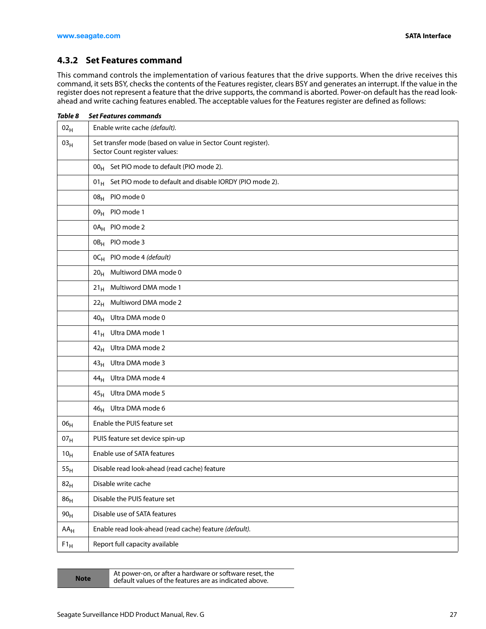## <span id="page-27-0"></span>**4.3.2 Set Features command**

This command controls the implementation of various features that the drive supports. When the drive receives this command, it sets BSY, checks the contents of the Features register, clears BSY and generates an interrupt. If the value in the register does not represent a feature that the drive supports, the command is aborted. Power-on default has the read lookahead and write caching features enabled. The acceptable values for the Features register are defined as follows:

| Table 8         | <b>Set Features commands</b>                                                                  |  |  |  |
|-----------------|-----------------------------------------------------------------------------------------------|--|--|--|
| 02 <sub>H</sub> | Enable write cache (default).                                                                 |  |  |  |
| 03 <sub>H</sub> | Set transfer mode (based on value in Sector Count register).<br>Sector Count register values: |  |  |  |
|                 | 00 <sub>H</sub> Set PIO mode to default (PIO mode 2).                                         |  |  |  |
|                 | 01 $_{\rm H}$ Set PIO mode to default and disable IORDY (PIO mode 2).                         |  |  |  |
|                 | PIO mode 0<br>08 <sub>H</sub>                                                                 |  |  |  |
|                 | 09 <sub>H</sub> PIO mode 1                                                                    |  |  |  |
|                 | 0A <sub>H</sub> PIO mode 2                                                                    |  |  |  |
|                 | 0B <sub>H</sub> PIO mode 3                                                                    |  |  |  |
|                 | 0C <sub>H</sub> PIO mode 4 (default)                                                          |  |  |  |
|                 | Multiword DMA mode 0<br>20 <sub>H</sub>                                                       |  |  |  |
|                 | Multiword DMA mode 1<br>21 <sub>H</sub>                                                       |  |  |  |
|                 | Multiword DMA mode 2<br>22 <sub>H</sub>                                                       |  |  |  |
|                 | 40 <sub>H</sub> Ultra DMA mode 0                                                              |  |  |  |
|                 | 41 <sub>H</sub> Ultra DMA mode 1                                                              |  |  |  |
|                 | 42 <sub>H</sub> Ultra DMA mode 2                                                              |  |  |  |
|                 | 43 <sub>H</sub> Ultra DMA mode 3                                                              |  |  |  |
|                 | 44 <sub>H</sub> Ultra DMA mode 4                                                              |  |  |  |
|                 | 45 <sub>H</sub> Ultra DMA mode 5                                                              |  |  |  |
|                 | 46 <sub>H</sub> Ultra DMA mode 6                                                              |  |  |  |
| 06 <sub>H</sub> | Enable the PUIS feature set                                                                   |  |  |  |
| 07 <sub>H</sub> | PUIS feature set device spin-up                                                               |  |  |  |
| 10 <sub>H</sub> | Enable use of SATA features                                                                   |  |  |  |
| 55 <sub>H</sub> | Disable read look-ahead (read cache) feature                                                  |  |  |  |
| 82 <sub>H</sub> | Disable write cache                                                                           |  |  |  |
| 86 <sub>H</sub> | Disable the PUIS feature set                                                                  |  |  |  |
| 90 <sub>H</sub> | Disable use of SATA features                                                                  |  |  |  |
| $AA_H$          | Enable read look-ahead (read cache) feature (default).                                        |  |  |  |
| $F1_H$          | Report full capacity available                                                                |  |  |  |
|                 |                                                                                               |  |  |  |

At power-on, or after a hardware or software reset, the default values of the features are as indicated above.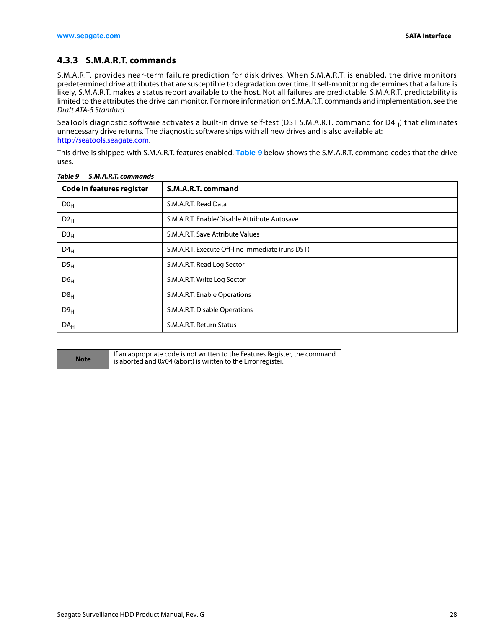## <span id="page-28-0"></span>**4.3.3 S.M.A.R.T. commands**

S.M.A.R.T. provides near-term failure prediction for disk drives. When S.M.A.R.T. is enabled, the drive monitors predetermined drive attributes that are susceptible to degradation over time. If self-monitoring determines that a failure is likely, S.M.A.R.T. makes a status report available to the host. Not all failures are predictable. S.M.A.R.T. predictability is limited to the attributes the drive can monitor. For more information on S.M.A.R.T. commands and implementation, see the Draft ATA-5 Standard.

SeaTools diagnostic software activates a built-in drive self-test (DST S.M.A.R.T. command for D4<sub>H</sub>) that eliminates unnecessary drive returns. The diagnostic software ships with all new drives and is also available at: http://seatools.seagate.com.

This drive is shipped with S.M.A.R.T. features enabled. **[Table 9](#page-28-1)** below shows the S.M.A.R.T. command codes that the drive uses.

| <b>Code in features register</b> | S.M.A.R.T. command                               |
|----------------------------------|--------------------------------------------------|
| D0 <sub>H</sub>                  | S.M.A.R.T. Read Data                             |
| $D2_H$                           | S.M.A.R.T. Enable/Disable Attribute Autosave     |
| D3 <sub>H</sub>                  | S.M.A.R.T. Save Attribute Values                 |
| $D4_H$                           | S.M.A.R.T. Execute Off-line Immediate (runs DST) |
| $DS_{H}$                         | S.M.A.R.T. Read Log Sector                       |
| D6 <sub>H</sub>                  | S.M.A.R.T. Write Log Sector                      |
| D8 <sub>H</sub>                  | S.M.A.R.T. Enable Operations                     |
| D9 <sub>H</sub>                  | S.M.A.R.T. Disable Operations                    |
| DA <sub>H</sub>                  | S.M.A.R.T. Return Status                         |

#### <span id="page-28-1"></span>*Table 9 S.M.A.R.T. commands*



If an appropriate code is not written to the Features Register, the command<br>Note is aborted and 0x04 (abort) is written to the Free register. is aborted and 0x04 (abort) is written to the Error register.